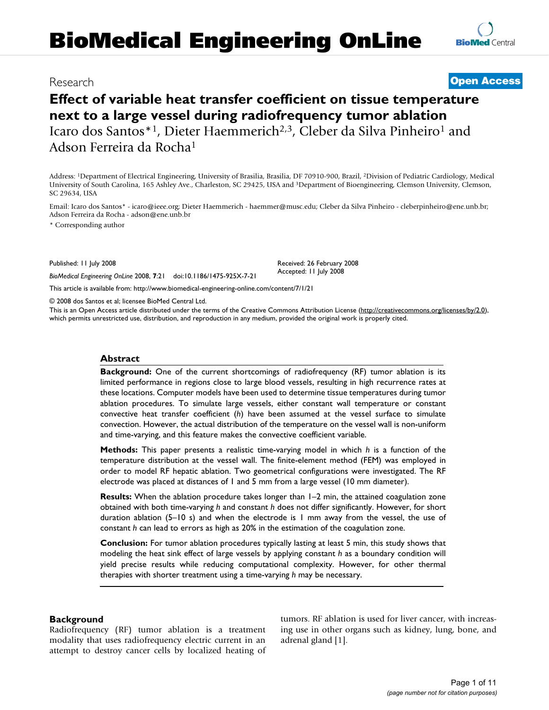# **BioMedical Engineering OnLine**

# Research **[Open Access](http://www.biomedcentral.com/info/about/charter/)**

# **Effect of variable heat transfer coefficient on tissue temperature next to a large vessel during radiofrequency tumor ablation** Icaro dos Santos\*<sup>1</sup>, Dieter Haemmerich<sup>2,3</sup>, Cleber da Silva Pinheiro<sup>1</sup> and Adson Ferreira da Rocha1

Address: 1Department of Electrical Engineering, University of Brasilia, Brasilia, DF 70910-900, Brazil, 2Division of Pediatric Cardiology, Medical

University of South Carolina, 165 Ashley Ave., Charleston, SC 29425, USA and 3Department of Bioengineering, Clemson University, Clemson, SC 29634, USA

Email: Icaro dos Santos\* - icaro@ieee.org; Dieter Haemmerich - haemmer@musc.edu; Cleber da Silva Pinheiro - cleberpinheiro@ene.unb.br; Adson Ferreira da Rocha - adson@ene.unb.br

\* Corresponding author

Published: 11 July 2008

*BioMedical Engineering OnLine* 2008, **7**:21 doi:10.1186/1475-925X-7-21

Received: 26 February 2008 Accepted: 11 July 2008

[This article is available from: http://www.biomedical-engineering-online.com/content/7/1/21](http://www.biomedical-engineering-online.com/content/7/1/21)

© 2008 dos Santos et al; licensee BioMed Central Ltd.

This is an Open Access article distributed under the terms of the Creative Commons Attribution License [\(http://creativecommons.org/licenses/by/2.0\)](http://creativecommons.org/licenses/by/2.0), which permits unrestricted use, distribution, and reproduction in any medium, provided the original work is properly cited.

#### **Abstract**

**Background:** One of the current shortcomings of radiofrequency (RF) tumor ablation is its limited performance in regions close to large blood vessels, resulting in high recurrence rates at these locations. Computer models have been used to determine tissue temperatures during tumor ablation procedures. To simulate large vessels, either constant wall temperature or constant convective heat transfer coefficient (*h*) have been assumed at the vessel surface to simulate convection. However, the actual distribution of the temperature on the vessel wall is non-uniform and time-varying, and this feature makes the convective coefficient variable.

**Methods:** This paper presents a realistic time-varying model in which *h* is a function of the temperature distribution at the vessel wall. The finite-element method (FEM) was employed in order to model RF hepatic ablation. Two geometrical configurations were investigated. The RF electrode was placed at distances of 1 and 5 mm from a large vessel (10 mm diameter).

**Results:** When the ablation procedure takes longer than 1–2 min, the attained coagulation zone obtained with both time-varying *h* and constant *h* does not differ significantly. However, for short duration ablation (5–10 s) and when the electrode is 1 mm away from the vessel, the use of constant *h* can lead to errors as high as 20% in the estimation of the coagulation zone.

**Conclusion:** For tumor ablation procedures typically lasting at least 5 min, this study shows that modeling the heat sink effect of large vessels by applying constant *h* as a boundary condition will yield precise results while reducing computational complexity. However, for other thermal therapies with shorter treatment using a time-varying *h* may be necessary.

#### **Background**

Radiofrequency (RF) tumor ablation is a treatment modality that uses radiofrequency electric current in an attempt to destroy cancer cells by localized heating of tumors. RF ablation is used for liver cancer, with increasing use in other organs such as kidney, lung, bone, and adrenal gland [1].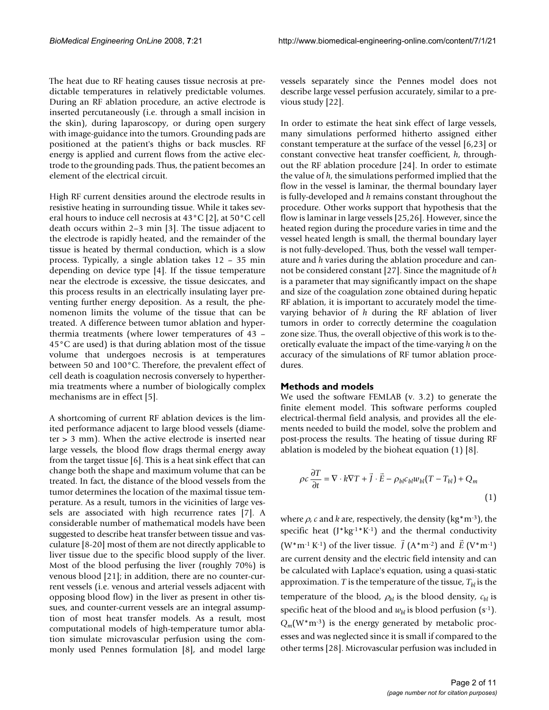The heat due to RF heating causes tissue necrosis at predictable temperatures in relatively predictable volumes. During an RF ablation procedure, an active electrode is inserted percutaneously (i.e. through a small incision in the skin), during laparoscopy, or during open surgery with image-guidance into the tumors. Grounding pads are positioned at the patient's thighs or back muscles. RF energy is applied and current flows from the active electrode to the grounding pads. Thus, the patient becomes an element of the electrical circuit.

High RF current densities around the electrode results in resistive heating in surrounding tissue. While it takes several hours to induce cell necrosis at 43°C [2], at 50°C cell death occurs within 2–3 min [3]. The tissue adjacent to the electrode is rapidly heated, and the remainder of the tissue is heated by thermal conduction, which is a slow process. Typically, a single ablation takes 12 – 35 min depending on device type [4]. If the tissue temperature near the electrode is excessive, the tissue desiccates, and this process results in an electrically insulating layer preventing further energy deposition. As a result, the phenomenon limits the volume of the tissue that can be treated. A difference between tumor ablation and hyperthermia treatments (where lower temperatures of 43 – 45°C are used) is that during ablation most of the tissue volume that undergoes necrosis is at temperatures between 50 and 100°C. Therefore, the prevalent effect of cell death is coagulation necrosis conversely to hyperthermia treatments where a number of biologically complex mechanisms are in effect [5].

A shortcoming of current RF ablation devices is the limited performance adjacent to large blood vessels (diameter > 3 mm). When the active electrode is inserted near large vessels, the blood flow drags thermal energy away from the target tissue [6]. This is a heat sink effect that can change both the shape and maximum volume that can be treated. In fact, the distance of the blood vessels from the tumor determines the location of the maximal tissue temperature. As a result, tumors in the vicinities of large vessels are associated with high recurrence rates [7]. A considerable number of mathematical models have been suggested to describe heat transfer between tissue and vasculature [8-20] most of them are not directly applicable to liver tissue due to the specific blood supply of the liver. Most of the blood perfusing the liver (roughly 70%) is venous blood [21]; in addition, there are no counter-current vessels (i.e. venous and arterial vessels adjacent with opposing blood flow) in the liver as present in other tissues, and counter-current vessels are an integral assumption of most heat transfer models. As a result, most computational models of high-temperature tumor ablation simulate microvascular perfusion using the commonly used Pennes formulation [8], and model large

vessels separately since the Pennes model does not describe large vessel perfusion accurately, similar to a previous study [22].

In order to estimate the heat sink effect of large vessels, many simulations performed hitherto assigned either constant temperature at the surface of the vessel [6,23] or constant convective heat transfer coefficient, *h*, throughout the RF ablation procedure [24]. In order to estimate the value of *h*, the simulations performed implied that the flow in the vessel is laminar, the thermal boundary layer is fully-developed and *h* remains constant throughout the procedure. Other works support that hypothesis that the flow is laminar in large vessels [25,26]. However, since the heated region during the procedure varies in time and the vessel heated length is small, the thermal boundary layer is not fully-developed. Thus, both the vessel wall temperature and *h* varies during the ablation procedure and cannot be considered constant [27]. Since the magnitude of *h* is a parameter that may significantly impact on the shape and size of the coagulation zone obtained during hepatic RF ablation, it is important to accurately model the timevarying behavior of *h* during the RF ablation of liver tumors in order to correctly determine the coagulation zone size. Thus, the overall objective of this work is to theoretically evaluate the impact of the time-varying *h* on the accuracy of the simulations of RF tumor ablation procedures.

#### **Methods and models**

We used the software FEMLAB (v. 3.2) to generate the finite element model. This software performs coupled electrical-thermal field analysis, and provides all the elements needed to build the model, solve the problem and post-process the results. The heating of tissue during RF ablation is modeled by the bioheat equation (1) [8].

$$
\rho c \frac{\partial T}{\partial t} = \nabla \cdot k \nabla T + \vec{J} \cdot \vec{E} - \rho_{bl} c_{bl} w_{bl} (T - T_{bl}) + Q_m
$$
\n(1)

where  $\rho$ , *c* and *k* are, respectively, the density (kg\*m<sup>-3</sup>), the specific heat  $(J^*kg^{-1*}K^{-1})$  and the thermal conductivity  $(W^*m^{-1} K^{-1})$  of the liver tissue.  $\int (A^*m^{-2})$  and  $\tilde{E}(V^*m^{-1})$ are current density and the electric field intensity and can be calculated with Laplace's equation, using a quasi-static approximation. *T* is the temperature of the tissue,  $T_{bl}$  is the temperature of the blood,  $\rho_{bl}$  is the blood density,  $c_{bl}$  is specific heat of the blood and  $w_{bl}$  is blood perfusion (s<sup>-1</sup>). *Qm*(W\*m-3) is the energy generated by metabolic processes and was neglected since it is small if compared to the other terms [28]. Microvascular perfusion was included in  $\vec{J}$  (A\*m<sup>-2</sup>) and  $\vec{E}$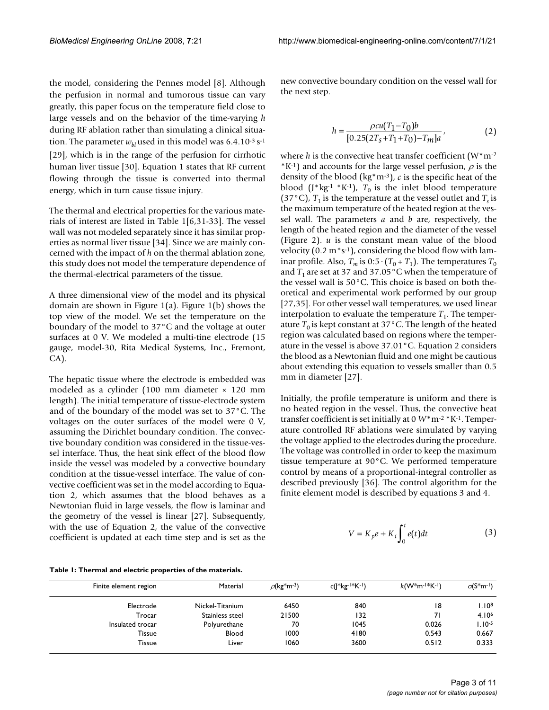the model, considering the Pennes model [8]. Although the perfusion in normal and tumorous tissue can vary greatly, this paper focus on the temperature field close to large vessels and on the behavior of the time-varying *h* during RF ablation rather than simulating a clinical situation. The parameter  $w_{bl}$  used in this model was 6.4.10<sup>-3</sup> s<sup>-1</sup> [29], which is in the range of the perfusion for cirrhotic human liver tissue [30]. Equation 1 states that RF current flowing through the tissue is converted into thermal energy, which in turn cause tissue injury.

The thermal and electrical properties for the various materials of interest are listed in Table 1[6,31-33]. The vessel wall was not modeled separately since it has similar properties as normal liver tissue [34]. Since we are mainly concerned with the impact of *h* on the thermal ablation zone, this study does not model the temperature dependence of the thermal-electrical parameters of the tissue.

A three dimensional view of the model and its physical domain are shown in Figure 1(a). Figure 1(b) shows the top view of the model. We set the temperature on the boundary of the model to 37°C and the voltage at outer surfaces at 0 V. We modeled a multi-tine electrode (15 gauge, model-30, Rita Medical Systems, Inc., Fremont, CA).

The hepatic tissue where the electrode is embedded was modeled as a cylinder (100 mm diameter × 120 mm length). The initial temperature of tissue-electrode system and of the boundary of the model was set to 37°C. The voltages on the outer surfaces of the model were 0 V, assuming the Dirichlet boundary condition. The convective boundary condition was considered in the tissue-vessel interface. Thus, the heat sink effect of the blood flow inside the vessel was modeled by a convective boundary condition at the tissue-vessel interface. The value of convective coefficient was set in the model according to Equation 2, which assumes that the blood behaves as a Newtonian fluid in large vessels, the flow is laminar and the geometry of the vessel is linear [27]. Subsequently, with the use of Equation 2, the value of the convective coefficient is updated at each time step and is set as the new convective boundary condition on the vessel wall for the next step.

$$
h = \frac{\rho c u (T_1 - T_0) b}{[0.25(2T_s + T_1 + T_0) - T_m]a},
$$
\n(2)

where  $h$  is the convective heat transfer coefficient  $(W^*m^{-2})$  $*K^{-1}$ ) and accounts for the large vessel perfusion,  $\rho$  is the density of the blood (kg\*m-3), *c* is the specific heat of the blood (J\*kg<sup>-1</sup> \*K<sup>-1</sup>),  $T_0$  is the inlet blood temperature (37 $\degree$ C),  $T_1$  is the temperature at the vessel outlet and  $T_s$  is the maximum temperature of the heated region at the vessel wall. The parameters *a* and *b* are, respectively, the length of the heated region and the diameter of the vessel (Figure 2). *u* is the constant mean value of the blood velocity  $(0.2 m* s^{-1})$ , considering the blood flow with laminar profile. Also,  $T_m$  is 0:5  $\cdot$  ( $T_0$  +  $T_1$ ). The temperatures  $T_0$ and  $T_1$  are set at 37 and 37.05 °C when the temperature of the vessel wall is 50°C. This choice is based on both theoretical and experimental work performed by our group [27,35]. For other vessel wall temperatures, we used linear interpolation to evaluate the temperature  $T_1$ . The temperature  $T_0$  is kept constant at 37°C. The length of the heated region was calculated based on regions where the temperature in the vessel is above 37.01°C. Equation 2 considers the blood as a Newtonian fluid and one might be cautious about extending this equation to vessels smaller than 0.5 mm in diameter [27].

Initially, the profile temperature is uniform and there is no heated region in the vessel. Thus, the convective heat transfer coefficient is set initially at 0 *W*\*m-2 \*K-1. Temperature controlled RF ablations were simulated by varying the voltage applied to the electrodes during the procedure. The voltage was controlled in order to keep the maximum tissue temperature at 90°C. We performed temperature control by means of a proportional-integral controller as described previously [36]. The control algorithm for the finite element model is described by equations 3 and 4.

$$
V = K_p e + K_i \int_0^t e(t) dt
$$
 (3)

| Table 1: Thermal and electric properties of the materials. |  |
|------------------------------------------------------------|--|
|------------------------------------------------------------|--|

| Finite element region | Material        | $\rho$ (kg <sup>*</sup> m <sup>-3</sup> ) | $c( *kg^{- *K^{- }})$ | $k(W^*m^{-1*}K^{-1})$ | $\sigma$ (S <sup>*</sup> m <sup>-1</sup> ) |
|-----------------------|-----------------|-------------------------------------------|-----------------------|-----------------------|--------------------------------------------|
| Electrode             | Nickel-Titanium | 6450                                      | 840                   | 18                    | 1.10 <sup>8</sup>                          |
| Trocar                | Stainless steel | 21500                                     | 132                   | 71                    | 4.10 <sup>6</sup>                          |
| Insulated trocar      | Polyurethane    | 70                                        | 1045                  | 0.026                 | $1.10 - 5$                                 |
| Tissue                | Blood           | 1000                                      | 4180                  | 0.543                 | 0.667                                      |
| Tissue                | Liver           | 1060                                      | 3600                  | 0.512                 | 0.333                                      |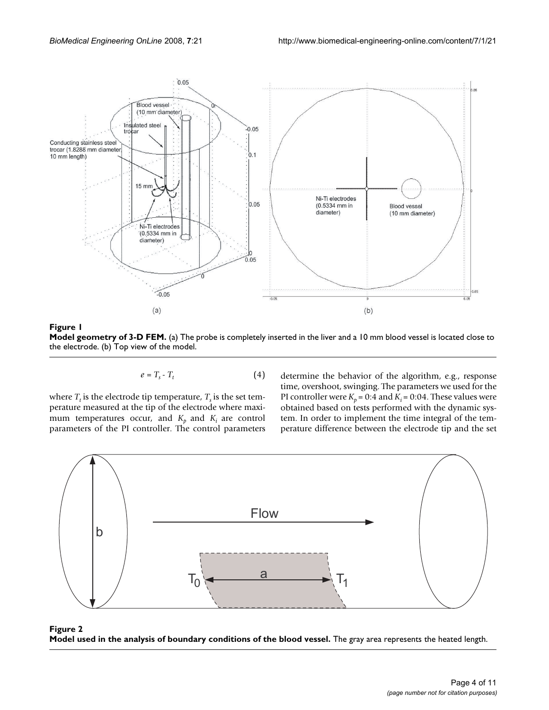

### **Figure 1**

**Model geometry of 3-D FEM.** (a) The probe is completely inserted in the liver and a 10 mm blood vessel is located close to the electrode. (b) Top view of the model.

$$
e = T_s - T_t \tag{4}
$$

where  $T_t$  is the electrode tip temperature,  $T_s$  is the set temperature measured at the tip of the electrode where maximum temperatures occur, and  $K_p$  and  $K_i$  are control parameters of the PI controller. The control parameters

determine the behavior of the algorithm, e.g., response time, overshoot, swinging. The parameters we used for the PI controller were  $K_p = 0.4$  and  $K_i = 0.04$ . These values were obtained based on tests performed with the dynamic system. In order to implement the time integral of the temperature difference between the electrode tip and the set



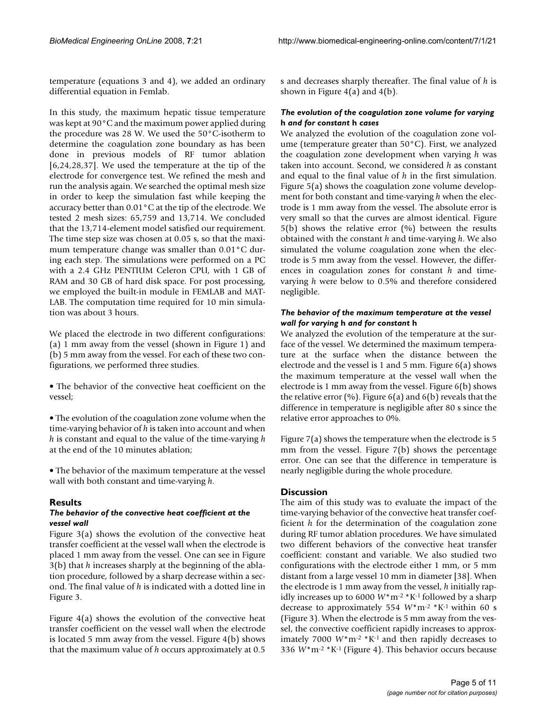temperature (equations 3 and 4), we added an ordinary differential equation in Femlab.

In this study, the maximum hepatic tissue temperature was kept at 90°C and the maximum power applied during the procedure was 28 W. We used the 50°C-isotherm to determine the coagulation zone boundary as has been done in previous models of RF tumor ablation [6,24,28,37]. We used the temperature at the tip of the electrode for convergence test. We refined the mesh and run the analysis again. We searched the optimal mesh size in order to keep the simulation fast while keeping the accuracy better than 0.01°C at the tip of the electrode. We tested 2 mesh sizes: 65,759 and 13,714. We concluded that the 13,714-element model satisfied our requirement. The time step size was chosen at 0.05 s, so that the maximum temperature change was smaller than 0.01°C during each step. The simulations were performed on a PC with a 2.4 GHz PENTIUM Celeron CPU, with 1 GB of RAM and 30 GB of hard disk space. For post processing, we employed the built-in module in FEMLAB and MAT-LAB. The computation time required for 10 min simulation was about 3 hours.

We placed the electrode in two different configurations: (a) 1 mm away from the vessel (shown in Figure 1) and (b) 5 mm away from the vessel. For each of these two configurations, we performed three studies.

• The behavior of the convective heat coefficient on the vessel;

• The evolution of the coagulation zone volume when the time-varying behavior of *h* is taken into account and when *h* is constant and equal to the value of the time-varying *h* at the end of the 10 minutes ablation;

• The behavior of the maximum temperature at the vessel wall with both constant and time-varying *h*.

#### **Results**

#### *The behavior of the convective heat coefficient at the vessel wall*

Figure 3(a) shows the evolution of the convective heat transfer coefficient at the vessel wall when the electrode is placed 1 mm away from the vessel. One can see in Figure 3(b) that *h* increases sharply at the beginning of the ablation procedure, followed by a sharp decrease within a second. The final value of *h* is indicated with a dotted line in Figure 3.

Figure  $4(a)$  shows the evolution of the convective heat transfer coefficient on the vessel wall when the electrode is located 5 mm away from the vessel. Figure 4(b) shows that the maximum value of *h* occurs approximately at 0.5 s and decreases sharply thereafter. The final value of *h* is shown in Figure  $4(a)$  and  $4(b)$ .

#### *The evolution of the coagulation zone volume for varying*  **h** *and for constant* **h** *cases*

We analyzed the evolution of the coagulation zone volume (temperature greater than 50°C). First, we analyzed the coagulation zone development when varying *h* was taken into account. Second, we considered *h* as constant and equal to the final value of *h* in the first simulation. Figure 5(a) shows the coagulation zone volume development for both constant and time-varying *h* when the electrode is 1 mm away from the vessel. The absolute error is very small so that the curves are almost identical. Figure  $5(b)$  shows the relative error  $(%)$  between the results obtained with the constant *h* and time-varying *h*. We also simulated the volume coagulation zone when the electrode is 5 mm away from the vessel. However, the differences in coagulation zones for constant *h* and timevarying *h* were below to 0.5% and therefore considered negligible.

#### *The behavior of the maximum temperature at the vessel wall for varying* **h** *and for constant* **h**

We analyzed the evolution of the temperature at the surface of the vessel. We determined the maximum temperature at the surface when the distance between the electrode and the vessel is 1 and 5 mm. Figure 6(a) shows the maximum temperature at the vessel wall when the electrode is 1 mm away from the vessel. Figure 6(b) shows the relative error  $(\%)$ . Figure 6(a) and 6(b) reveals that the difference in temperature is negligible after 80 s since the relative error approaches to 0%.

Figure 7(a) shows the temperature when the electrode is 5 mm from the vessel. Figure 7(b) shows the percentage error. One can see that the difference in temperature is nearly negligible during the whole procedure.

#### **Discussion**

The aim of this study was to evaluate the impact of the time-varying behavior of the convective heat transfer coefficient *h* for the determination of the coagulation zone during RF tumor ablation procedures. We have simulated two different behaviors of the convective heat transfer coefficient: constant and variable. We also studied two configurations with the electrode either 1 mm, or 5 mm distant from a large vessel 10 mm in diameter [38]. When the electrode is 1 mm away from the vessel, *h* initially rapidly increases up to 6000  $W^*m^{-2} * K^{-1}$  followed by a sharp decrease to approximately 554 *W*\*m-2 \*K-1 within 60 s (Figure 3). When the electrode is 5 mm away from the vessel, the convective coefficient rapidly increases to approximately 7000 *W*\*m-2 \*K-1 and then rapidly decreases to 336 *W*\*m-2 \*K-1 (Figure 4). This behavior occurs because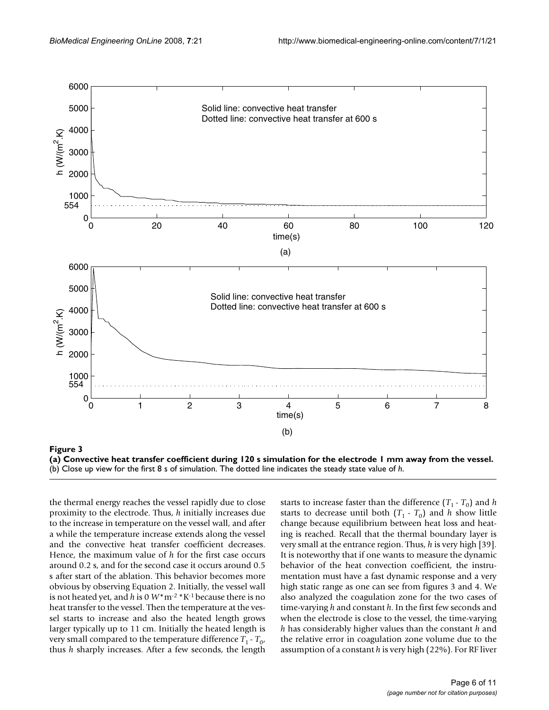

**(a) Convective heat transfer coefficient during 120 s simulation for the electrode 1 mm away from the vessel.** (b) Close up view for the first 8 s of simulation. The dotted line indicates the steady state value of *h*.

the thermal energy reaches the vessel rapidly due to close proximity to the electrode. Thus, *h* initially increases due to the increase in temperature on the vessel wall, and after a while the temperature increase extends along the vessel and the convective heat transfer coefficient decreases. Hence, the maximum value of *h* for the first case occurs around 0.2 s, and for the second case it occurs around 0.5 s after start of the ablation. This behavior becomes more obvious by observing Equation 2. Initially, the vessel wall is not heated yet, and *h* is 0 *W*\*m-2 \*K-1 because there is no heat transfer to the vessel. Then the temperature at the vessel starts to increase and also the heated length grows larger typically up to 11 cm. Initially the heated length is very small compared to the temperature difference  $T_1 - T_0$ , thus *h* sharply increases. After a few seconds, the length

starts to increase faster than the difference  $(T_1 - T_0)$  and *h* starts to decrease until both  $(T_1 - T_0)$  and *h* show little change because equilibrium between heat loss and heating is reached. Recall that the thermal boundary layer is very small at the entrance region. Thus, *h* is very high [39]. It is noteworthy that if one wants to measure the dynamic behavior of the heat convection coefficient, the instrumentation must have a fast dynamic response and a very high static range as one can see from figures 3 and 4. We also analyzed the coagulation zone for the two cases of time-varying *h* and constant *h*. In the first few seconds and when the electrode is close to the vessel, the time-varying *h* has considerably higher values than the constant *h* and the relative error in coagulation zone volume due to the assumption of a constant *h* is very high (22%). For RF liver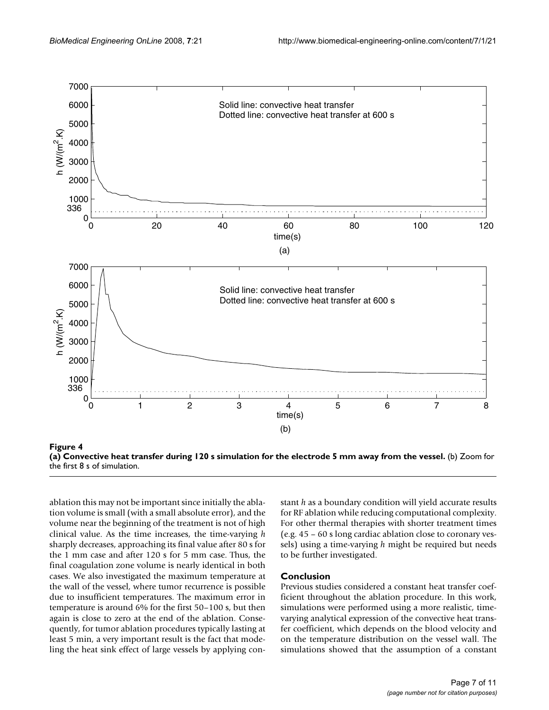



ablation this may not be important since initially the ablation volume is small (with a small absolute error), and the volume near the beginning of the treatment is not of high clinical value. As the time increases, the time-varying *h* sharply decreases, approaching its final value after 80 s for the 1 mm case and after 120 s for 5 mm case. Thus, the final coagulation zone volume is nearly identical in both cases. We also investigated the maximum temperature at the wall of the vessel, where tumor recurrence is possible due to insufficient temperatures. The maximum error in temperature is around 6% for the first 50–100 s, but then again is close to zero at the end of the ablation. Consequently, for tumor ablation procedures typically lasting at least 5 min, a very important result is the fact that modeling the heat sink effect of large vessels by applying con-

stant *h* as a boundary condition will yield accurate results for RF ablation while reducing computational complexity. For other thermal therapies with shorter treatment times (e.g. 45 – 60 s long cardiac ablation close to coronary vessels) using a time-varying *h* might be required but needs to be further investigated.

#### **Conclusion**

Previous studies considered a constant heat transfer coefficient throughout the ablation procedure. In this work, simulations were performed using a more realistic, timevarying analytical expression of the convective heat transfer coefficient, which depends on the blood velocity and on the temperature distribution on the vessel wall. The simulations showed that the assumption of a constant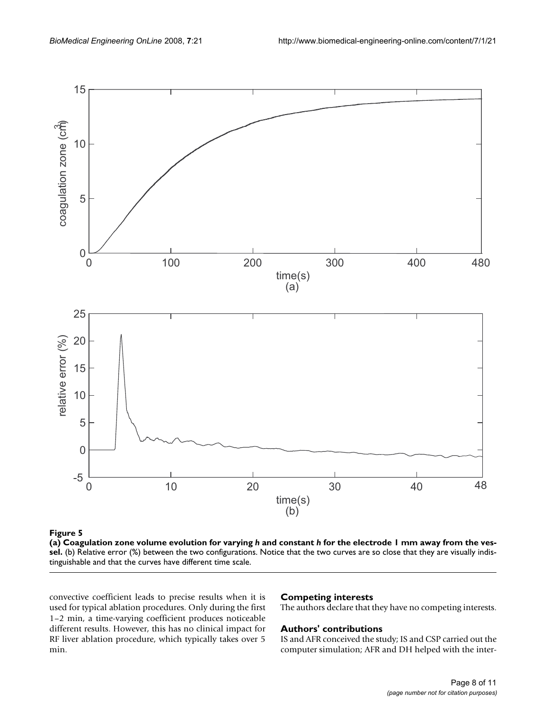

**Figure 5** (a) Coagulation zone volume evolution for varying *h* and constant *h* for the electrode 1 mm away from the vessel

**(a) Coagulation zone volume evolution for varying** *h* **and constant** *h* **for the electrode 1 mm away from the vessel.** (b) Relative error (%) between the two configurations. Notice that the two curves are so close that they are visually indistinguishable and that the curves have different time scale.

convective coefficient leads to precise results when it is used for typical ablation procedures. Only during the first 1–2 min, a time-varying coefficient produces noticeable different results. However, this has no clinical impact for RF liver ablation procedure, which typically takes over 5 min.

## **Competing interests**

The authors declare that they have no competing interests.

#### **Authors' contributions**

IS and AFR conceived the study; IS and CSP carried out the computer simulation; AFR and DH helped with the inter-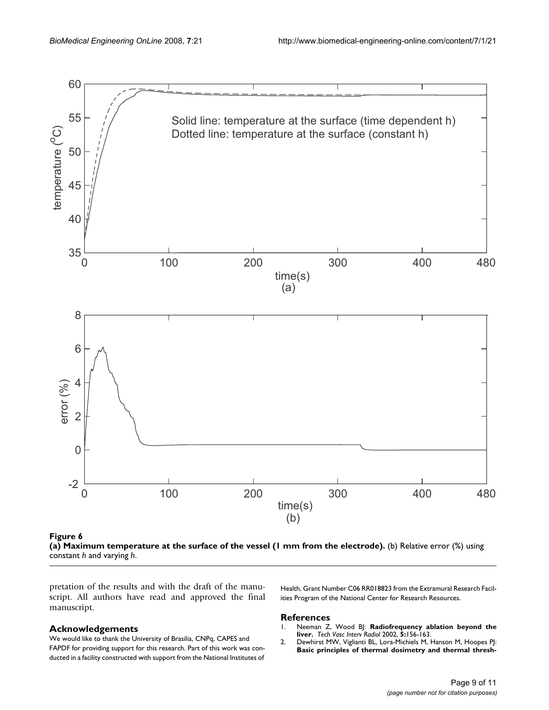

(a) Maximum temperature at the surface of **Figure 6** the vessel (1 mm from the electrode)

**(a) Maximum temperature at the surface of the vessel (1 mm from the electrode).** (b) Relative error (%) using constant *h* and varying *h*.

pretation of the results and with the draft of the manuscript. All authors have read and approved the final manuscript.

#### **Acknowledgements**

We would like to thank the University of Brasilia, CNPq, CAPES and FAPDF for providing support for this research. Part of this work was conducted in a facility constructed with support from the National Institutes of

Health, Grant Number C06 RR018823 from the Extramural Research Facilities Program of the National Center for Research Resources.

#### **References**

- 1. Neeman Z, Wood BJ: **[Radiofrequency ablation beyond the](http://www.ncbi.nlm.nih.gov/entrez/query.fcgi?cmd=Retrieve&db=PubMed&dopt=Abstract&list_uids=12524646) [liver.](http://www.ncbi.nlm.nih.gov/entrez/query.fcgi?cmd=Retrieve&db=PubMed&dopt=Abstract&list_uids=12524646)** *Tech Vasc Interv Radiol* 2002, **5:**156-163.
- 2. Dewhirst MW, Viglianti BL, Lora-Michiels M, Hanson M, Hoopes PJ: **[Basic principles of thermal dosimetry and thermal thresh](http://www.ncbi.nlm.nih.gov/entrez/query.fcgi?cmd=Retrieve&db=PubMed&dopt=Abstract&list_uids=12745972)-**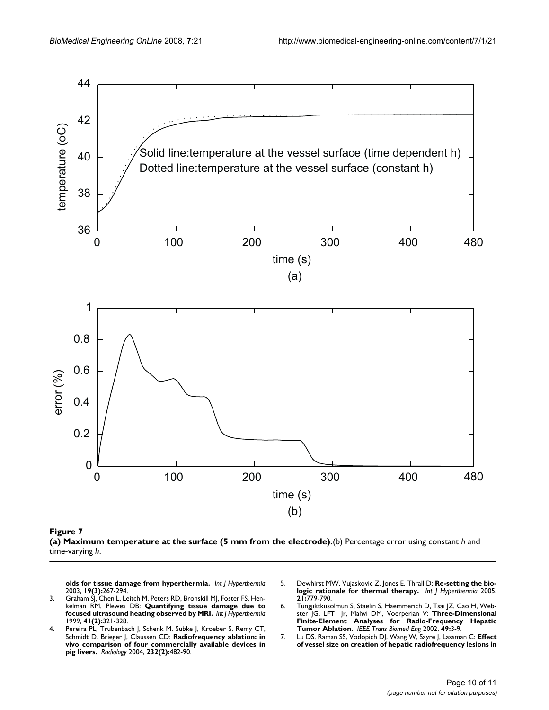



**[olds for tissue damage from hyperthermia.](http://www.ncbi.nlm.nih.gov/entrez/query.fcgi?cmd=Retrieve&db=PubMed&dopt=Abstract&list_uids=12745972)** *Int J Hyperthermia* 2003, **19(3):**267-294.

- 3. Graham SJ, Chen L, Leitch M, Peters RD, Bronskill MJ, Foster FS, Henkelman RM, Plewes DB: **[Quantifying tissue damage due to](http://www.ncbi.nlm.nih.gov/entrez/query.fcgi?cmd=Retrieve&db=PubMed&dopt=Abstract&list_uids=10080280) [focused ultrasound heating observed by MRI.](http://www.ncbi.nlm.nih.gov/entrez/query.fcgi?cmd=Retrieve&db=PubMed&dopt=Abstract&list_uids=10080280)** *Int J Hyperthermia* 1999, **41(2):**321-328.
- 4. Pereira PL, Trubenbach J, Schenk M, Subke J, Kroeber S, Remy CT, Schmidt D, Brieger J, Claussen CD: **[Radiofrequency ablation: in](http://www.ncbi.nlm.nih.gov/entrez/query.fcgi?cmd=Retrieve&db=PubMed&dopt=Abstract&list_uids=15286318) [vivo comparison of four commercially available devices in](http://www.ncbi.nlm.nih.gov/entrez/query.fcgi?cmd=Retrieve&db=PubMed&dopt=Abstract&list_uids=15286318) [pig livers.](http://www.ncbi.nlm.nih.gov/entrez/query.fcgi?cmd=Retrieve&db=PubMed&dopt=Abstract&list_uids=15286318)** *Radiology* 2004, **232(2):**482-90.
- 5. Dewhirst MW, Vujaskovic Z, Jones E, Thrall D: **[Re-setting the bio](http://www.ncbi.nlm.nih.gov/entrez/query.fcgi?cmd=Retrieve&db=PubMed&dopt=Abstract&list_uids=16338861)[logic rationale for thermal therapy.](http://www.ncbi.nlm.nih.gov/entrez/query.fcgi?cmd=Retrieve&db=PubMed&dopt=Abstract&list_uids=16338861)** *Int J Hyperthermia* 2005, **21:**779-790.
- 6. Tungjiktkusolmun S, Staelin S, Haemmerich D, Tsai JZ, Cao H, Webster JG, LFT Jr, Mahvi DM, Voerperian V: **[Three-Dimensional](http://www.ncbi.nlm.nih.gov/entrez/query.fcgi?cmd=Retrieve&db=PubMed&dopt=Abstract&list_uids=11797653) [Finite-Element Analyses for Radio-Frequency Hepatic](http://www.ncbi.nlm.nih.gov/entrez/query.fcgi?cmd=Retrieve&db=PubMed&dopt=Abstract&list_uids=11797653) [Tumor Ablation.](http://www.ncbi.nlm.nih.gov/entrez/query.fcgi?cmd=Retrieve&db=PubMed&dopt=Abstract&list_uids=11797653)** *IEEE Trans Biomed Eng* 2002, **49:**3-9.
- 7. Lu DS, Raman SS, Vodopich DJ, Wang W, Sayre J, Lassman C: **[Effect](http://www.ncbi.nlm.nih.gov/entrez/query.fcgi?cmd=Retrieve&db=PubMed&dopt=Abstract&list_uids=11756085) [of vessel size on creation of hepatic radiofrequency lesions in](http://www.ncbi.nlm.nih.gov/entrez/query.fcgi?cmd=Retrieve&db=PubMed&dopt=Abstract&list_uids=11756085)**